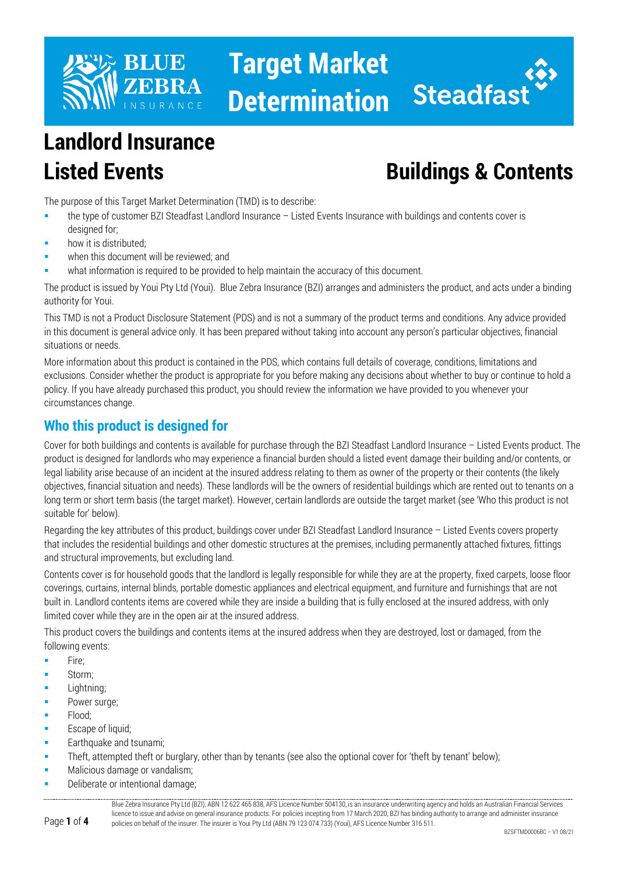

## **Target Market Determination**



# **Landlord Insurance**

### **Listed Events Buildings & Contents**

The purpose of this Target Market Determination (TMD) is to describe:

- the type of customer BZI Steadfast Landlord Insurance Listed Events Insurance with buildings and contents cover is designed for;
- how it is distributed;
- when this document will be reviewed; and
- what information is required to be provided to help maintain the accuracy of this document.

The product is issued by Youi Pty Ltd (Youi). Blue Zebra Insurance (BZI) arranges and administers the product, and acts under a binding authority for Youi.

This TMD is not a Product Disclosure Statement (PDS) and is not a summary of the product terms and conditions. Any advice provided in this document is general advice only. It has been prepared without taking into account any person's particular objectives, financial situations or needs.

More information about this product is contained in the PDS, which contains full details of coverage, conditions, limitations and exclusions. Consider whether the product is appropriate for you before making any decisions about whether to buy or continue to hold a policy. If you have already purchased this product, you should review the information we have provided to you whenever your circumstances change.

#### **Who this product is designed for**

Cover for both buildings and contents is available for purchase through the BZI Steadfast Landlord Insurance – Listed Events product. The product is designed for landlords who may experience a financial burden should a listed event damage their building and/or contents, or legal liability arise because of an incident at the insured address relating to them as owner of the property or their contents (the likely objectives, financial situation and needs). These landlords will be the owners of residential buildings which are rented out to tenants on a long term or short term basis (the target market). However, certain landlords are outside the target market (see 'Who this product is not suitable for' below).

Regarding the key attributes of this product, buildings cover under BZI Steadfast Landlord Insurance – Listed Events covers property that includes the residential buildings and other domestic structures at the premises, including permanently attached fixtures, fittings and structural improvements, but excluding land.

Contents cover is for household goods that the landlord is legally responsible for while they are at the property, fixed carpets, loose floor coverings, curtains, internal blinds, portable domestic appliances and electrical equipment, and furniture and furnishings that are not built in. Landlord contents items are covered while they are inside a building that is fully enclosed at the insured address, with only limited cover while they are in the open air at the insured address.

This product covers the buildings and contents items at the insured address when they are destroyed, lost or damaged, from the following events:

- **Fire**;
- Storm;
- Lightning;
- Power surge;
- Flood;
- **Escape of liquid;**
- Earthquake and tsunami;
- Theft, attempted theft or burglary, other than by tenants (see also the optional cover for 'theft by tenant' below);
- Malicious damage or vandalism;
- Deliberate or intentional damage;

Blue Zebra Insurance Pty Ltd (BZI), ABN 12 622 465 838, AFS Licence Number 504130, is an insurance underwriting agency and holds an Australian Financial Services licence to issue and advise on general insurance products. For policies incepting from 17 March 2020, BZI has binding authority to arrange and administer insurance policies on behalf of the insurer. The insurer is Youi Pty Ltd (ABN 79 123 074 733) (Youi), AFS Licence Number 316 511.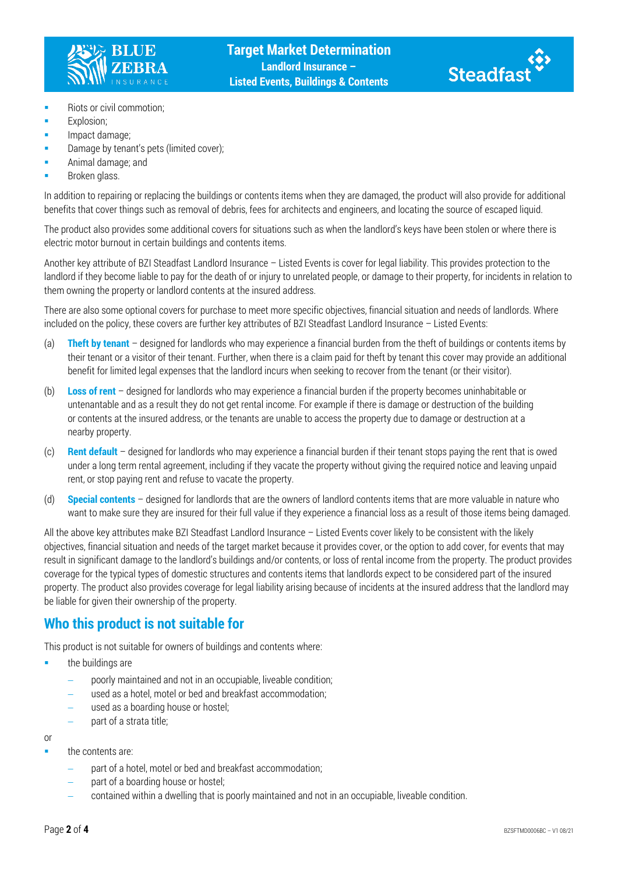



- **Riots or civil commotion;**
- **Explosion;**
- Impact damage;
- Damage by tenant's pets (limited cover);
- Animal damage; and
- Broken glass.

In addition to repairing or replacing the buildings or contents items when they are damaged, the product will also provide for additional benefits that cover things such as removal of debris, fees for architects and engineers, and locating the source of escaped liquid.

The product also provides some additional covers for situations such as when the landlord's keys have been stolen or where there is electric motor burnout in certain buildings and contents items.

Another key attribute of BZI Steadfast Landlord Insurance – Listed Events is cover for legal liability. This provides protection to the landlord if they become liable to pay for the death of or injury to unrelated people, or damage to their property, for incidents in relation to them owning the property or landlord contents at the insured address.

There are also some optional covers for purchase to meet more specific objectives, financial situation and needs of landlords. Where included on the policy, these covers are further key attributes of BZI Steadfast Landlord Insurance – Listed Events:

- (a) **Theft by tenant** designed for landlords who may experience a financial burden from the theft of buildings or contents items by their tenant or a visitor of their tenant. Further, when there is a claim paid for theft by tenant this cover may provide an additional benefit for limited legal expenses that the landlord incurs when seeking to recover from the tenant (or their visitor).
- (b) **Loss of rent** designed for landlords who may experience a financial burden if the property becomes uninhabitable or untenantable and as a result they do not get rental income. For example if there is damage or destruction of the building or contents at the insured address, or the tenants are unable to access the property due to damage or destruction at a nearby property.
- (c) **Rent default** designed for landlords who may experience a financial burden if their tenant stops paying the rent that is owed under a long term rental agreement, including if they vacate the property without giving the required notice and leaving unpaid rent, or stop paying rent and refuse to vacate the property.
- (d) **Special contents** designed for landlords that are the owners of landlord contents items that are more valuable in nature who want to make sure they are insured for their full value if they experience a financial loss as a result of those items being damaged.

All the above key attributes make BZI Steadfast Landlord Insurance – Listed Events cover likely to be consistent with the likely objectives, financial situation and needs of the target market because it provides cover, or the option to add cover, for events that may result in significant damage to the landlord's buildings and/or contents, or loss of rental income from the property. The product provides coverage for the typical types of domestic structures and contents items that landlords expect to be considered part of the insured property. The product also provides coverage for legal liability arising because of incidents at the insured address that the landlord may be liable for given their ownership of the property.

#### **Who this product is not suitable for**

This product is not suitable for owners of buildings and contents where:

- the buildings are
	- poorly maintained and not in an occupiable, liveable condition;
	- used as a hotel, motel or bed and breakfast accommodation;
	- used as a boarding house or hostel;
	- part of a strata title;

or

- the contents are:
	- part of a hotel, motel or bed and breakfast accommodation;
	- part of a boarding house or hostel;
	- − contained within a dwelling that is poorly maintained and not in an occupiable, liveable condition.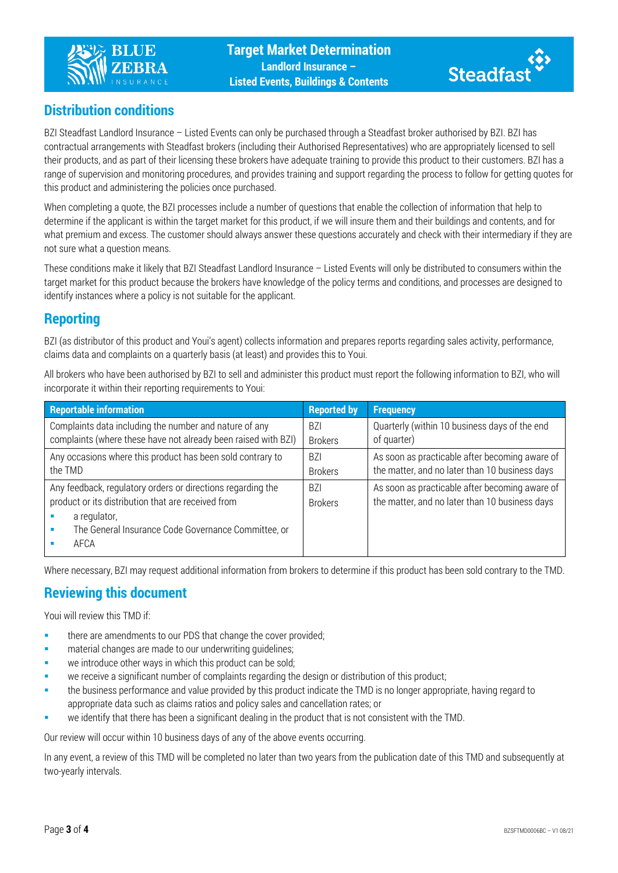



#### **Distribution conditions**

BZI Steadfast Landlord Insurance – Listed Events can only be purchased through a Steadfast broker authorised by BZI. BZI has contractual arrangements with Steadfast brokers (including their Authorised Representatives) who are appropriately licensed to sell their products, and as part of their licensing these brokers have adequate training to provide this product to their customers. BZI has a range of supervision and monitoring procedures, and provides training and support regarding the process to follow for getting quotes for this product and administering the policies once purchased.

When completing a quote, the BZI processes include a number of questions that enable the collection of information that help to determine if the applicant is within the target market for this product, if we will insure them and their buildings and contents, and for what premium and excess. The customer should always answer these questions accurately and check with their intermediary if they are not sure what a question means.

These conditions make it likely that BZI Steadfast Landlord Insurance – Listed Events will only be distributed to consumers within the target market for this product because the brokers have knowledge of the policy terms and conditions, and processes are designed to identify instances where a policy is not suitable for the applicant.

#### **Reporting**

BZI (as distributor of this product and Youi's agent) collects information and prepares reports regarding sales activity, performance, claims data and complaints on a quarterly basis (at least) and provides this to Youi.

All brokers who have been authorised by BZI to sell and administer this product must report the following information to BZI, who will incorporate it within their reporting requirements to Youi:

| <b>Reportable information</b>                                  | <b>Reported by</b> | <b>Frequency</b>                               |
|----------------------------------------------------------------|--------------------|------------------------------------------------|
| Complaints data including the number and nature of any         | <b>BZI</b>         | Quarterly (within 10 business days of the end  |
| complaints (where these have not already been raised with BZI) | <b>Brokers</b>     | of quarter)                                    |
| Any occasions where this product has been sold contrary to     | <b>BZI</b>         | As soon as practicable after becoming aware of |
| the TMD                                                        | <b>Brokers</b>     | the matter, and no later than 10 business days |
| Any feedback, regulatory orders or directions regarding the    | B <sub>7</sub>     | As soon as practicable after becoming aware of |
| product or its distribution that are received from             | <b>Brokers</b>     | the matter, and no later than 10 business days |
| a regulator,                                                   |                    |                                                |
| The General Insurance Code Governance Committee, or            |                    |                                                |
| AFCA                                                           |                    |                                                |
|                                                                |                    |                                                |

Where necessary, BZI may request additional information from brokers to determine if this product has been sold contrary to the TMD.

#### **Reviewing this document**

Youi will review this TMD if:

- **there are amendments to our PDS that change the cover provided;**
- material changes are made to our underwriting guidelines;
- **we introduce other ways in which this product can be sold;**
- we receive a significant number of complaints regarding the design or distribution of this product;
- the business performance and value provided by this product indicate the TMD is no longer appropriate, having regard to appropriate data such as claims ratios and policy sales and cancellation rates; or
- we identify that there has been a significant dealing in the product that is not consistent with the TMD.

Our review will occur within 10 business days of any of the above events occurring.

In any event, a review of this TMD will be completed no later than two years from the publication date of this TMD and subsequently at two-yearly intervals.